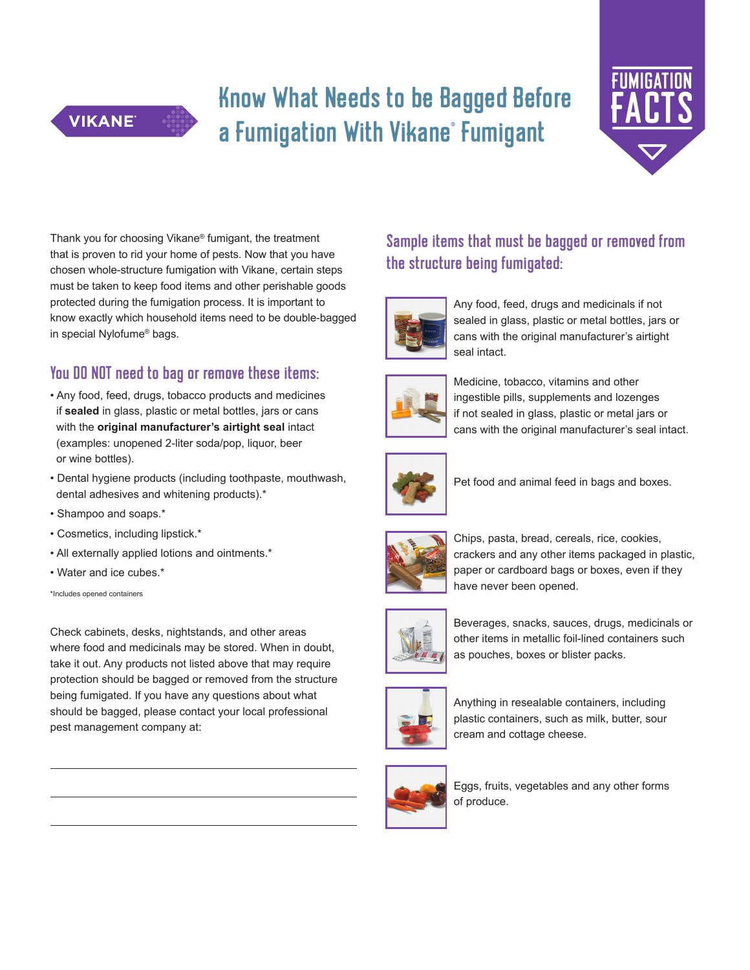## Know What Needs to be Bagged Before a Fumigation With Vikane° Fumigant



Thank you for choosing Vikane® fumigant, the treatment that is proven to rid your home of pests. Now that you have chosen whole-structure fumigation with Vikane, certain steps must be taken to keep food items and other perishable goods protected during the fumigation process. It is important to know exactly which household items need to be double-bagged in special Nylofume® bags.

### You DO NOT need to bag or remove these items:

- Any food, feed, drugs, tobacco products and medicines if **sealed** in glass, plastic or metal bottles, jars or cans with the **original manufacturer's airtight seal** intact (examples: unopened 2-liter soda/pop, liquor, beer or wine bottles).
- Dental hygiene products (including toothpaste, mouthwash, dental adhesives and whitening products).\*
- Shampoo and soaps.\*

**VIKANE** 

- Cosmetics, including lipstick.\*
- All externally applied lotions and ointments.\*
- Water and ice cubes.\*

\*Includes opened containers

Check cabinets, desks, nightstands, and other areas where food and medicinals may be stored. When in doubt, take it out. Any products not listed above that may require protection should be bagged or removed from the structure being fumigated. If you have any questions about what should be bagged, please contact your local professional pest management company at:



## Sample items that must be bagged or removed from the structure being fumigated:



 Any food, feed, drugs and medicinals if not sealed in glass, plastic or metal bottles, jars or cans with the original manufacturer's airtight seal intact.



 Medicine, tobacco, vitamins and other ingestible pills, supplements and lozenges if not sealed in glass, plastic or metal jars or cans with the original manufacturer's seal intact.



Pet food and animal feed in bags and boxes.







 Beverages, snacks, sauces, drugs, medicinals or other items in metallic foil-lined containers such as pouches, boxes or blister packs.



 Anything in resealable containers, including plastic containers, such as milk, butter, sour cream and cottage cheese.



 Eggs, fruits, vegetables and any other forms of produce.